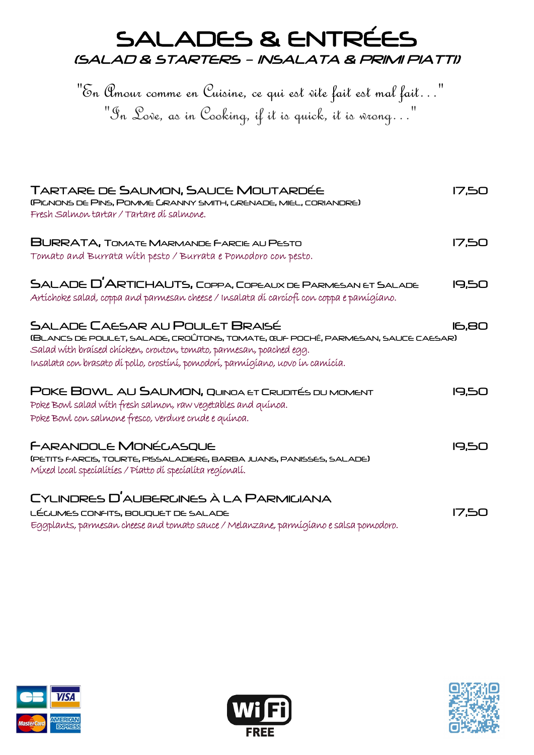# SALADES & ENTRÉES (SALAD & STARTERS – INSALATA & PRIMI PIATTI)

"En Amour comme en Cuisine, ce qui est vite fait est mal fait…" "In Love, as in Cooking, if it is quick, it is wrong…"

| TARTARE DE SAUMON, SAUCE MOUTARDÉE<br>(PICNONS DE PINS, POMME GRANNY SMITH, GRENADE, MIEL, CORIANDRE)<br>Fresh Salmon tartar / Tartare di salmone.                                                                                                                                 | 17.50        |
|------------------------------------------------------------------------------------------------------------------------------------------------------------------------------------------------------------------------------------------------------------------------------------|--------------|
| <b>BURRATA, TOMATE MARMANDE FARCIE AU PESTO</b><br>Tomato and Burrata with pesto / Burrata e Pomodoro con pesto.                                                                                                                                                                   | <b>17.50</b> |
| SALADE D'ARTICHAUTS, COPPA, COPEAUX DE PARMESAN ET SALADE<br>Artíchoke salad, coppa and parmesan cheese / Insalata dí carcíofi con coppa e pamígíano.                                                                                                                              | 19,50        |
| <b>SALADE CAESAR AU POULET BRAISÉ</b><br>(BLANCS DE POULET, SALADE, CROÛTONS, TOMATE, ŒUF POCHÉ, PARMESAN, SAUCE CAESAR)<br>Salad with braised chicken, crouton, tomato, parmesan, poached egg.<br>Insalata con brasato dí pollo, crostíní, pomodorí, parmígiano, uovo in camicia. | 16,80        |
| POKE BOWL AU SAUMON, QUINOA ET CRUDITÉS DU MOMENT<br>Poke Bowl salad with fresh salmon, raw vegetables and quinoa.<br>Poke Bowl con salmone fresco, verdure crude e quínoa.                                                                                                        | 19,50        |
| FARANDOLE MONÉCASQUE<br>(PETITS FARCIS, TOURTE, PISSALADIERE, BARBA JUANS, PANISSES, SALADE)<br>Míxed local specíalítíes / Píatto dí specíalíta regionalí.                                                                                                                         | 19,50        |
| CYLINDRES D'AUBERUINES À LA PARMIGIANA<br>LÉCUMES CONFITS, BOUQUET DE SALADE<br>Eggplants, parmesan cheese and tomato sauce / Melanzane, parmígíano e salsa pomodoro.                                                                                                              | <b>17.50</b> |





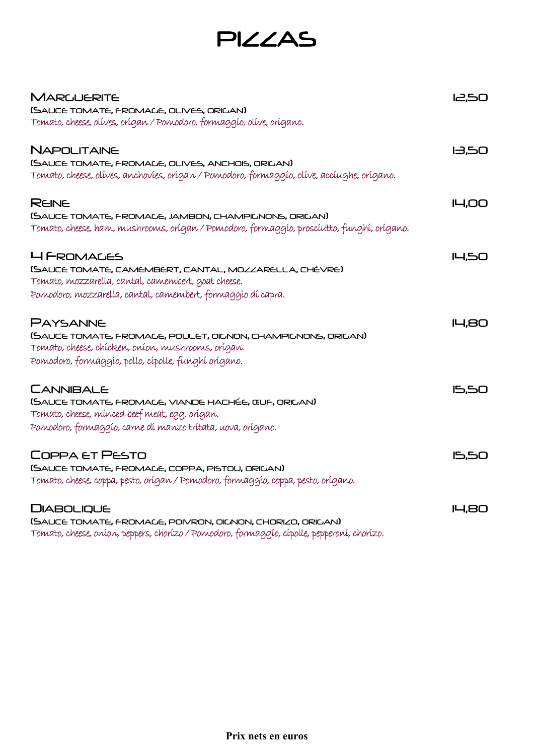PIZZAS

| <b>MARGUERITE</b>                                                                           | 05.51         |
|---------------------------------------------------------------------------------------------|---------------|
| (SAUCE TOMATE, FROMACE, OLIVES, ORIGAN)                                                     |               |
| Tomato, cheese, olíves, orígan / Pomodoro, formaggio, olíve, orígano.                       |               |
| NAPOLITAINE                                                                                 | 13,50         |
| (SAUCE TOMATE, FROMACE, OLIVES, ANCHOIS, ORIGAN)                                            |               |
| Tomato, cheese, olíves, anchovies, orígan / Pomodoro, formaggío, olíve, accíughe, orígano.  |               |
| <b>REINE</b>                                                                                | <b>ILI,OO</b> |
| (SAUCE TOMATE, FROMACE, JAMBON, CHAMPICNONS, ORICAN)                                        |               |
| Tomato, cheese, ham, mushrooms, orígan / Pomodoro, formaggío, proscíutto, funghí, orígano.  |               |
| <b>4 FROMALES</b>                                                                           | <b>14,50</b>  |
| (SAUCE TOMATE, CAMEMBERT, CANTAL, MOZZARELLA, CHÈVRE)                                       |               |
| Tomato, mozzarella, cantal, camembert, goat cheese.                                         |               |
| Pomodoro, mozzarella, cantal, camembert, formaggio di capra.                                |               |
| <b>PAYSANNE</b>                                                                             | <b>14,80</b>  |
| (SAUCE TOMATE, FROMACE, POULET, OILNON, CHAMPILNONS, ORILAN)                                |               |
| Tomato, cheese, chícken, oníon, mushrooms, orígan.                                          |               |
| Pomodoro, formaggío, pollo, cípolle, funghí orígano.                                        |               |
| <b>CANNIBALE</b>                                                                            | <b>15,50</b>  |
| (SAUCE TOMATE, FROMACE, VIANDE HACHÉE, ŒUF, ORIGAN)                                         |               |
| Tomato, cheese, minced beef meat, egg, origan.                                              |               |
| Pomodoro, formaggío, carne dí manzo trítata, uova, orígano.                                 |               |
| COPPA ET PESTO                                                                              | <b>15,50</b>  |
| (SAUCE TOMATE, FROMACE, COPPA, PISTOU, ORICAN)                                              |               |
| Tomato, cheese, coppa, pesto, orígan / Pomodoro, formaggio, coppa, pesto, orígano.          |               |
| <b>DIABOLIQUE</b>                                                                           | <b>14,80</b>  |
| (SAUCE TOMATE, FROMACE, POIVRON, OICNON, CHORIZO, ORIGAN)                                   |               |
| Tomato, cheese, oníon, peppers, chorízo / Pomodoro, formaggio, cípolle, pepperoní, chorízo. |               |

Prix nets en euros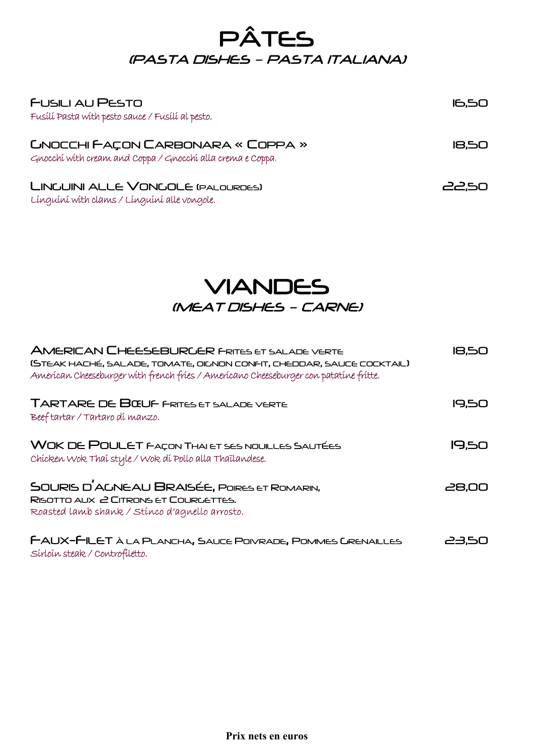## PÂTES (PASTA DISHES – PASTA ITALIANA)

| <b>FUSILI AU PESTO</b><br>Fusílí Pasta with pesto sauce / Fusílí al pesto.                             | <b>16,50</b> |
|--------------------------------------------------------------------------------------------------------|--------------|
| <b>CNOCCHI FAÇON CARBONARA « COPPA »</b><br>Gnocchí with cream and Coppa / Gnocchí alla crema e Coppa. | 18,50        |
| LINGUINI ALLE VONGOLE (PALOURDES)<br>Línguíní With clams / Línguíní alle vongole.                      | 22,50        |

### VIANDES (MEAT DISHES – CARNE)

| <b>AMERICAN CHEESEBURGER FRITES ET SALADE VERTE</b><br>(STEAK HACHÉ, SALADE, TOMATE, OICNON CONFIT, CHEDDAR, SAUCE COCKTAIL)<br>American Cheeseburger with french fries / Americano Cheeseburger con patatine fritte. | 18,50 |
|-----------------------------------------------------------------------------------------------------------------------------------------------------------------------------------------------------------------------|-------|
| <b>TARTARE DE BŒUF FRITES ET SALADE VERTE</b><br>Beeftartar/Tartaro di manzo.                                                                                                                                         | 19.50 |
| <b>WOK DE POULET FAÇON THAI ET SES NOUILLES SAUTÉES</b><br>Chícken Wok Thaí style / Wok dí Pollo alla Thaïlandese.                                                                                                    | 19,50 |
| SOURIS D'ACNEAU BRAISÉE, POIRES ET ROMARIN,<br>RISOTTO AUX 2 CITRONS ET COURGETTES.<br>Roasted lamb shank / Stinco d'agnello arrosto.                                                                                 | 28,00 |
| FAUX-FILET À LA PLANCHA, SAUCE POIVRADE, POMMES GRENAILLES<br>Sírloín steak / Controfiletto.                                                                                                                          | 23,50 |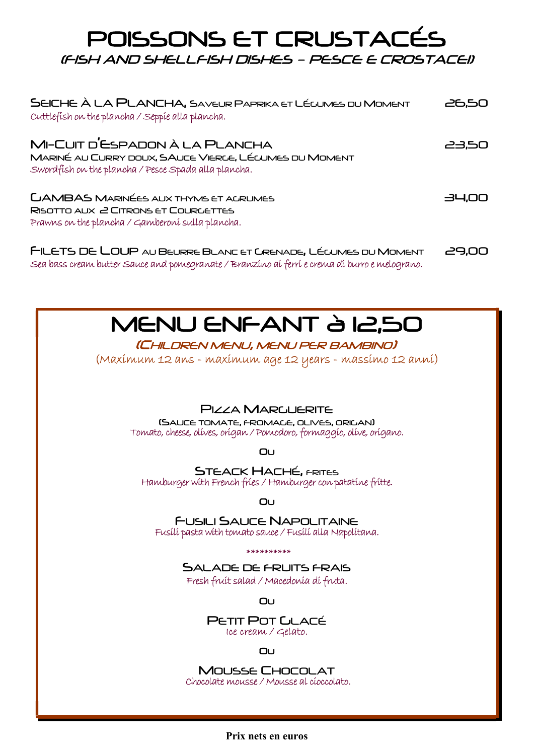### POISSONS ET CRUSTACÉS (FISH AND SHELLFISH DISHES – PESCE E CROSTACEI)

| SEICHE À LA PLANCHA, SAVEUR PAPRIKA ET LÉCUMES DU MOMENT<br>Cuttlefish on the plancha / Seppie alla plancha.                                    | 26,50 |
|-------------------------------------------------------------------------------------------------------------------------------------------------|-------|
| MI-CUIT D'ESPADON À LA PLANCHA<br>MARINÉ AU CURRY DOUX, SAUCE VIERCE, LÉCUMES DU MOMENT<br>Swordfish on the plancha / Pesce Spada alla plancha. | 23,50 |
| <b>LJAMBAS MARINÉES AUX THYMS ET ACRUMES</b><br>RISOTTO AUX 2 CITRONS ET COURGETTES<br>Prawns on the plancha / Gamberoni sulla plancha.         | 34,00 |
| FILETS DE LOUP AU BEURRE BLANC ET GRENADE, LÉCUMES DU MOMENT                                                                                    | 29.00 |

# MENU ENFANT à 12,50

#### (CHILDREN MENU, MENU PER BAMBINO)

Sea bass cream butter Sauce and pomegranate / Branzino ai ferri e crema di burro e melograno.

(Maximum 12 ans - maximum age 12 years - massimo 12 anni)

#### PIZZA MARGUERITE

(SAUCE TOMATE, FROMAGE, OLIVES, ORIGAN) Tomato, cheese, olives, origan / Pomodoro, formaggio, olive, origano.

OU

**STEACK HACHÉ, FRITES** Hamburger with French fries / Hamburger con patatine fritte.

#### OU

FUSILI SAUCE NAPOLITAINE Fusili pasta with tomato sauce / Fusili alla Napolitana.

#### \*\*\*\*\*\*\*\*\*\*

SALADE DE FRUITS FRAIS Fresh fruit salad / Macedonia di fruta.

OU

PETIT POT **LLACÉ** Ice cream / Gelato.

#### OU

 <sup>M</sup>OUSSE CHOCOLAT Chocolate mousse / Mousse al cioccolato.

Prix nets en euros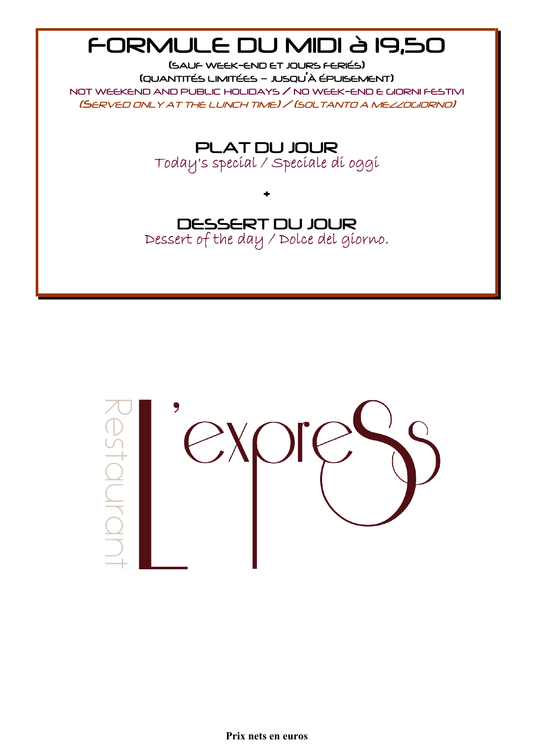# FORMULE DU MIDI à 19,50

(SAUF WEEK-END ET JOURS FERIÉS) (QUANTITÉS LIMITÉES – JUSQU'À ÉPUISEMENT)

NOT WEEKEND AND PUBLIC HOLIDAYS / NO WEEK-END E GIORNI FESTIVI (SERVED ONLY AT THE LUNCH TIME) / (SOLTANTO A MEZZOGIORNO)

PLAT DU JOUR

Today's special / Speciale di oggi

+

DESSERT DU JOUR

Dessert of the day / Dolce del giorno.